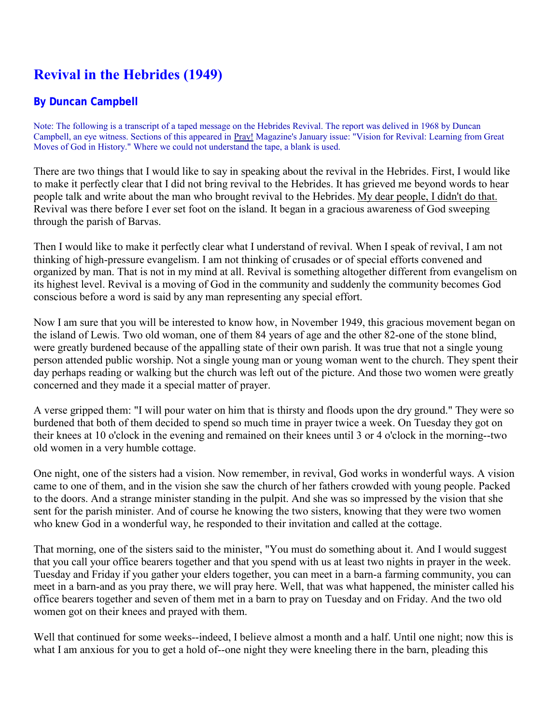# **Revival in the Hebrides (1949)**

### **By Duncan Campbell**

Note: The following is a transcript of a taped message on the Hebrides Revival. The report was delived in 1968 by Duncan Campbell, an eye witness. Sections of this appeared in Pray! Magazine's January issue: "Vision for Revival: Learning from Great Moves of God in History." Where we could not understand the tape, a blank is used.

There are two things that I would like to say in speaking about the revival in the Hebrides. First, I would like to make it perfectly clear that I did not bring revival to the Hebrides. It has grieved me beyond words to hear people talk and write about the man who brought revival to the Hebrides. My dear people, I didn't do that. Revival was there before I ever set foot on the island. It began in a gracious awareness of God sweeping through the parish of Barvas.

Then I would like to make it perfectly clear what I understand of revival. When I speak of revival, I am not thinking of high-pressure evangelism. I am not thinking of crusades or of special efforts convened and organized by man. That is not in my mind at all. Revival is something altogether different from evangelism on its highest level. Revival is a moving of God in the community and suddenly the community becomes God conscious before a word is said by any man representing any special effort.

Now I am sure that you will be interested to know how, in November 1949, this gracious movement began on the island of Lewis. Two old woman, one of them 84 years of age and the other 82-one of the stone blind, were greatly burdened because of the appalling state of their own parish. It was true that not a single young person attended public worship. Not a single young man or young woman went to the church. They spent their day perhaps reading or walking but the church was left out of the picture. And those two women were greatly concerned and they made it a special matter of prayer.

A verse gripped them: "I will pour water on him that is thirsty and floods upon the dry ground." They were so burdened that both of them decided to spend so much time in prayer twice a week. On Tuesday they got on their knees at 10 o'clock in the evening and remained on their knees until 3 or 4 o'clock in the morning--two old women in a very humble cottage.

One night, one of the sisters had a vision. Now remember, in revival, God works in wonderful ways. A vision came to one of them, and in the vision she saw the church of her fathers crowded with young people. Packed to the doors. And a strange minister standing in the pulpit. And she was so impressed by the vision that she sent for the parish minister. And of course he knowing the two sisters, knowing that they were two women who knew God in a wonderful way, he responded to their invitation and called at the cottage.

That morning, one of the sisters said to the minister, "You must do something about it. And I would suggest that you call your office bearers together and that you spend with us at least two nights in prayer in the week. Tuesday and Friday if you gather your elders together, you can meet in a barn-a farming community, you can meet in a barn-and as you pray there, we will pray here. Well, that was what happened, the minister called his office bearers together and seven of them met in a barn to pray on Tuesday and on Friday. And the two old women got on their knees and prayed with them.

Well that continued for some weeks--indeed, I believe almost a month and a half. Until one night; now this is what I am anxious for you to get a hold of--one night they were kneeling there in the barn, pleading this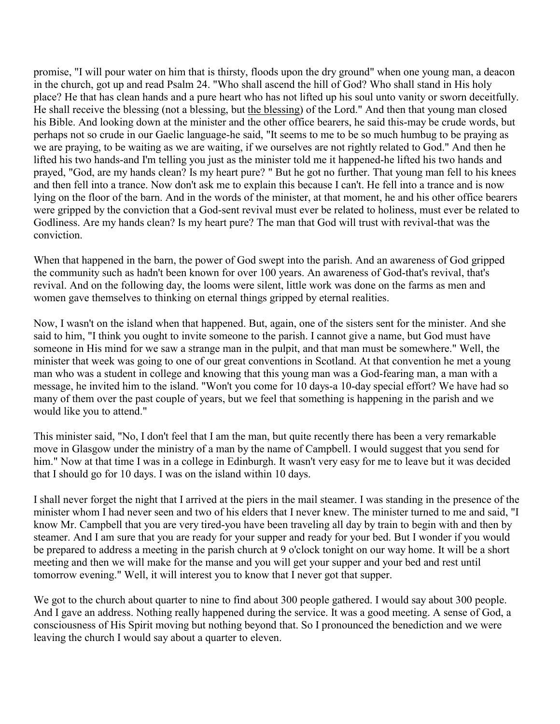promise, "I will pour water on him that is thirsty, floods upon the dry ground" when one young man, a deacon in the church, got up and read Psalm 24. "Who shall ascend the hill of God? Who shall stand in His holy place? He that has clean hands and a pure heart who has not lifted up his soul unto vanity or sworn deceitfully. He shall receive the blessing (not a blessing, but the blessing) of the Lord." And then that young man closed his Bible. And looking down at the minister and the other office bearers, he said this-may be crude words, but perhaps not so crude in our Gaelic language-he said, "It seems to me to be so much humbug to be praying as we are praying, to be waiting as we are waiting, if we ourselves are not rightly related to God." And then he lifted his two hands-and I'm telling you just as the minister told me it happened-he lifted his two hands and prayed, "God, are my hands clean? Is my heart pure? " But he got no further. That young man fell to his knees and then fell into a trance. Now don't ask me to explain this because I can't. He fell into a trance and is now lying on the floor of the barn. And in the words of the minister, at that moment, he and his other office bearers were gripped by the conviction that a God-sent revival must ever be related to holiness, must ever be related to Godliness. Are my hands clean? Is my heart pure? The man that God will trust with revival-that was the conviction.

When that happened in the barn, the power of God swept into the parish. And an awareness of God gripped the community such as hadn't been known for over 100 years. An awareness of God-that's revival, that's revival. And on the following day, the looms were silent, little work was done on the farms as men and women gave themselves to thinking on eternal things gripped by eternal realities.

Now, I wasn't on the island when that happened. But, again, one of the sisters sent for the minister. And she said to him, "I think you ought to invite someone to the parish. I cannot give a name, but God must have someone in His mind for we saw a strange man in the pulpit, and that man must be somewhere." Well, the minister that week was going to one of our great conventions in Scotland. At that convention he met a young man who was a student in college and knowing that this young man was a God-fearing man, a man with a message, he invited him to the island. "Won't you come for 10 days-a 10-day special effort? We have had so many of them over the past couple of years, but we feel that something is happening in the parish and we would like you to attend."

This minister said, "No, I don't feel that I am the man, but quite recently there has been a very remarkable move in Glasgow under the ministry of a man by the name of Campbell. I would suggest that you send for him." Now at that time I was in a college in Edinburgh. It wasn't very easy for me to leave but it was decided that I should go for 10 days. I was on the island within 10 days.

I shall never forget the night that I arrived at the piers in the mail steamer. I was standing in the presence of the minister whom I had never seen and two of his elders that I never knew. The minister turned to me and said, "I know Mr. Campbell that you are very tired-you have been traveling all day by train to begin with and then by steamer. And I am sure that you are ready for your supper and ready for your bed. But I wonder if you would be prepared to address a meeting in the parish church at 9 o'clock tonight on our way home. It will be a short meeting and then we will make for the manse and you will get your supper and your bed and rest until tomorrow evening." Well, it will interest you to know that I never got that supper.

We got to the church about quarter to nine to find about 300 people gathered. I would say about 300 people. And I gave an address. Nothing really happened during the service. It was a good meeting. A sense of God, a consciousness of His Spirit moving but nothing beyond that. So I pronounced the benediction and we were leaving the church I would say about a quarter to eleven.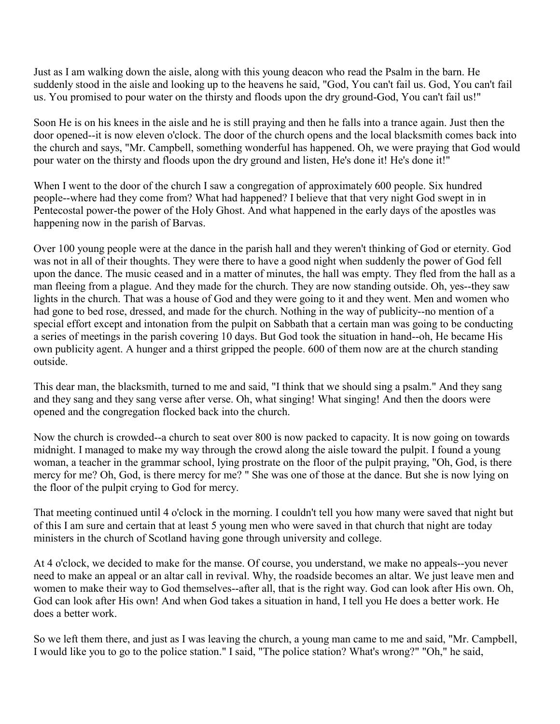Just as I am walking down the aisle, along with this young deacon who read the Psalm in the barn. He suddenly stood in the aisle and looking up to the heavens he said, "God, You can't fail us. God, You can't fail us. You promised to pour water on the thirsty and floods upon the dry ground-God, You can't fail us!"

Soon He is on his knees in the aisle and he is still praying and then he falls into a trance again. Just then the door opened--it is now eleven o'clock. The door of the church opens and the local blacksmith comes back into the church and says, "Mr. Campbell, something wonderful has happened. Oh, we were praying that God would pour water on the thirsty and floods upon the dry ground and listen, He's done it! He's done it!"

When I went to the door of the church I saw a congregation of approximately 600 people. Six hundred people--where had they come from? What had happened? I believe that that very night God swept in in Pentecostal power-the power of the Holy Ghost. And what happened in the early days of the apostles was happening now in the parish of Barvas.

Over 100 young people were at the dance in the parish hall and they weren't thinking of God or eternity. God was not in all of their thoughts. They were there to have a good night when suddenly the power of God fell upon the dance. The music ceased and in a matter of minutes, the hall was empty. They fled from the hall as a man fleeing from a plague. And they made for the church. They are now standing outside. Oh, yes--they saw lights in the church. That was a house of God and they were going to it and they went. Men and women who had gone to bed rose, dressed, and made for the church. Nothing in the way of publicity--no mention of a special effort except and intonation from the pulpit on Sabbath that a certain man was going to be conducting a series of meetings in the parish covering 10 days. But God took the situation in hand--oh, He became His own publicity agent. A hunger and a thirst gripped the people. 600 of them now are at the church standing outside.

This dear man, the blacksmith, turned to me and said, "I think that we should sing a psalm." And they sang and they sang and they sang verse after verse. Oh, what singing! What singing! And then the doors were opened and the congregation flocked back into the church.

Now the church is crowded--a church to seat over 800 is now packed to capacity. It is now going on towards midnight. I managed to make my way through the crowd along the aisle toward the pulpit. I found a young woman, a teacher in the grammar school, lying prostrate on the floor of the pulpit praying, "Oh, God, is there mercy for me? Oh, God, is there mercy for me? " She was one of those at the dance. But she is now lying on the floor of the pulpit crying to God for mercy.

That meeting continued until 4 o'clock in the morning. I couldn't tell you how many were saved that night but of this I am sure and certain that at least 5 young men who were saved in that church that night are today ministers in the church of Scotland having gone through university and college.

At 4 o'clock, we decided to make for the manse. Of course, you understand, we make no appeals--you never need to make an appeal or an altar call in revival. Why, the roadside becomes an altar. We just leave men and women to make their way to God themselves--after all, that is the right way. God can look after His own. Oh, God can look after His own! And when God takes a situation in hand, I tell you He does a better work. He does a better work.

So we left them there, and just as I was leaving the church, a young man came to me and said, "Mr. Campbell, I would like you to go to the police station." I said, "The police station? What's wrong?" "Oh," he said,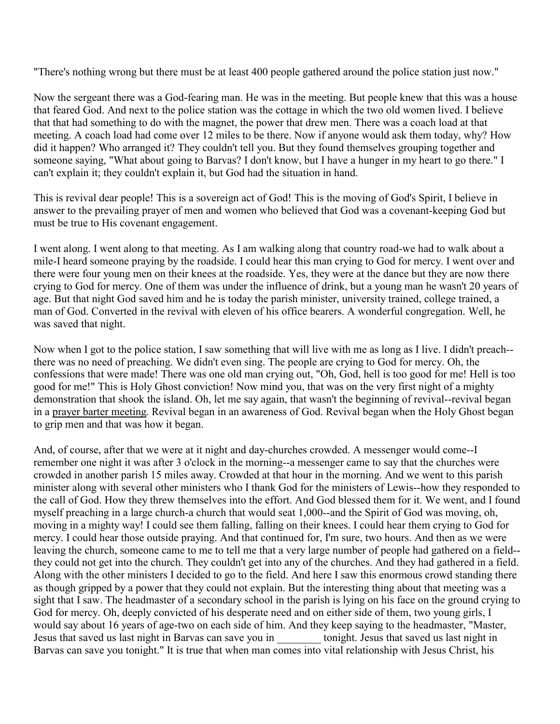"There's nothing wrong but there must be at least 400 people gathered around the police station just now."

Now the sergeant there was a God-fearing man. He was in the meeting. But people knew that this was a house that feared God. And next to the police station was the cottage in which the two old women lived. I believe that that had something to do with the magnet, the power that drew men. There was a coach load at that meeting. A coach load had come over 12 miles to be there. Now if anyone would ask them today, why? How did it happen? Who arranged it? They couldn't tell you. But they found themselves grouping together and someone saying, "What about going to Barvas? I don't know, but I have a hunger in my heart to go there." I can't explain it; they couldn't explain it, but God had the situation in hand.

This is revival dear people! This is a sovereign act of God! This is the moving of God's Spirit, I believe in answer to the prevailing prayer of men and women who believed that God was a covenant-keeping God but must be true to His covenant engagement.

I went along. I went along to that meeting. As I am walking along that country road-we had to walk about a mile-I heard someone praying by the roadside. I could hear this man crying to God for mercy. I went over and there were four young men on their knees at the roadside. Yes, they were at the dance but they are now there crying to God for mercy. One of them was under the influence of drink, but a young man he wasn't 20 years of age. But that night God saved him and he is today the parish minister, university trained, college trained, a man of God. Converted in the revival with eleven of his office bearers. A wonderful congregation. Well, he was saved that night.

Now when I got to the police station, I saw something that will live with me as long as I live. I didn't preach- there was no need of preaching. We didn't even sing. The people are crying to God for mercy. Oh, the confessions that were made! There was one old man crying out, "Oh, God, hell is too good for me! Hell is too good for me!" This is Holy Ghost conviction! Now mind you, that was on the very first night of a mighty demonstration that shook the island. Oh, let me say again, that wasn't the beginning of revival--revival began in a prayer barter meeting. Revival began in an awareness of God. Revival began when the Holy Ghost began to grip men and that was how it began.

And, of course, after that we were at it night and day-churches crowded. A messenger would come--I remember one night it was after 3 o'clock in the morning--a messenger came to say that the churches were crowded in another parish 15 miles away. Crowded at that hour in the morning. And we went to this parish minister along with several other ministers who I thank God for the ministers of Lewis--how they responded to the call of God. How they threw themselves into the effort. And God blessed them for it. We went, and I found myself preaching in a large church-a church that would seat 1,000--and the Spirit of God was moving, oh, moving in a mighty way! I could see them falling, falling on their knees. I could hear them crying to God for mercy. I could hear those outside praying. And that continued for, I'm sure, two hours. And then as we were leaving the church, someone came to me to tell me that a very large number of people had gathered on a field- they could not get into the church. They couldn't get into any of the churches. And they had gathered in a field. Along with the other ministers I decided to go to the field. And here I saw this enormous crowd standing there as though gripped by a power that they could not explain. But the interesting thing about that meeting was a sight that I saw. The headmaster of a secondary school in the parish is lying on his face on the ground crying to God for mercy. Oh, deeply convicted of his desperate need and on either side of them, two young girls, I would say about 16 years of age-two on each side of him. And they keep saying to the headmaster, "Master, Jesus that saved us last night in Barvas can save you in \_\_\_\_\_\_\_\_\_ tonight. Jesus that saved us last night in Barvas can save you tonight." It is true that when man comes into vital relationship with Jesus Christ, his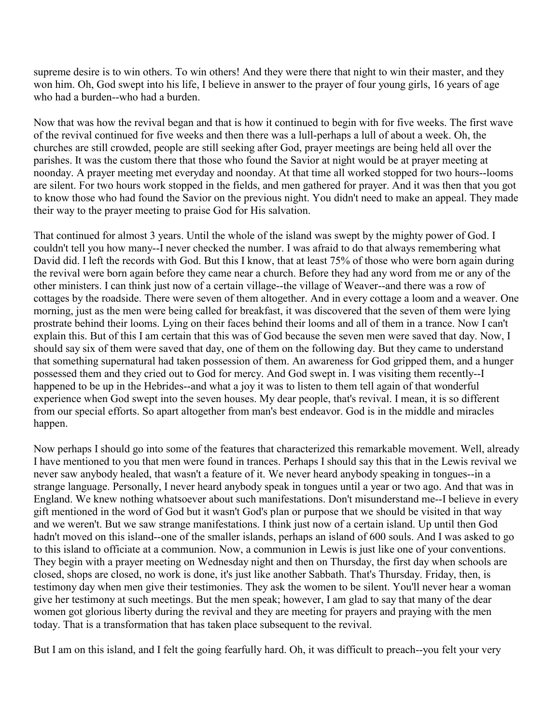supreme desire is to win others. To win others! And they were there that night to win their master, and they won him. Oh, God swept into his life, I believe in answer to the prayer of four young girls, 16 years of age who had a burden--who had a burden

Now that was how the revival began and that is how it continued to begin with for five weeks. The first wave of the revival continued for five weeks and then there was a lull-perhaps a lull of about a week. Oh, the churches are still crowded, people are still seeking after God, prayer meetings are being held all over the parishes. It was the custom there that those who found the Savior at night would be at prayer meeting at noonday. A prayer meeting met everyday and noonday. At that time all worked stopped for two hours--looms are silent. For two hours work stopped in the fields, and men gathered for prayer. And it was then that you got to know those who had found the Savior on the previous night. You didn't need to make an appeal. They made their way to the prayer meeting to praise God for His salvation.

That continued for almost 3 years. Until the whole of the island was swept by the mighty power of God. I couldn't tell you how many--I never checked the number. I was afraid to do that always remembering what David did. I left the records with God. But this I know, that at least 75% of those who were born again during the revival were born again before they came near a church. Before they had any word from me or any of the other ministers. I can think just now of a certain village--the village of Weaver--and there was a row of cottages by the roadside. There were seven of them altogether. And in every cottage a loom and a weaver. One morning, just as the men were being called for breakfast, it was discovered that the seven of them were lying prostrate behind their looms. Lying on their faces behind their looms and all of them in a trance. Now I can't explain this. But of this I am certain that this was of God because the seven men were saved that day. Now, I should say six of them were saved that day, one of them on the following day. But they came to understand that something supernatural had taken possession of them. An awareness for God gripped them, and a hunger possessed them and they cried out to God for mercy. And God swept in. I was visiting them recently--I happened to be up in the Hebrides--and what a joy it was to listen to them tell again of that wonderful experience when God swept into the seven houses. My dear people, that's revival. I mean, it is so different from our special efforts. So apart altogether from man's best endeavor. God is in the middle and miracles happen.

Now perhaps I should go into some of the features that characterized this remarkable movement. Well, already I have mentioned to you that men were found in trances. Perhaps I should say this that in the Lewis revival we never saw anybody healed, that wasn't a feature of it. We never heard anybody speaking in tongues--in a strange language. Personally, I never heard anybody speak in tongues until a year or two ago. And that was in England. We knew nothing whatsoever about such manifestations. Don't misunderstand me--I believe in every gift mentioned in the word of God but it wasn't God's plan or purpose that we should be visited in that way and we weren't. But we saw strange manifestations. I think just now of a certain island. Up until then God hadn't moved on this island--one of the smaller islands, perhaps an island of 600 souls. And I was asked to go to this island to officiate at a communion. Now, a communion in Lewis is just like one of your conventions. They begin with a prayer meeting on Wednesday night and then on Thursday, the first day when schools are closed, shops are closed, no work is done, it's just like another Sabbath. That's Thursday. Friday, then, is testimony day when men give their testimonies. They ask the women to be silent. You'll never hear a woman give her testimony at such meetings. But the men speak; however, I am glad to say that many of the dear women got glorious liberty during the revival and they are meeting for prayers and praying with the men today. That is a transformation that has taken place subsequent to the revival.

But I am on this island, and I felt the going fearfully hard. Oh, it was difficult to preach--you felt your very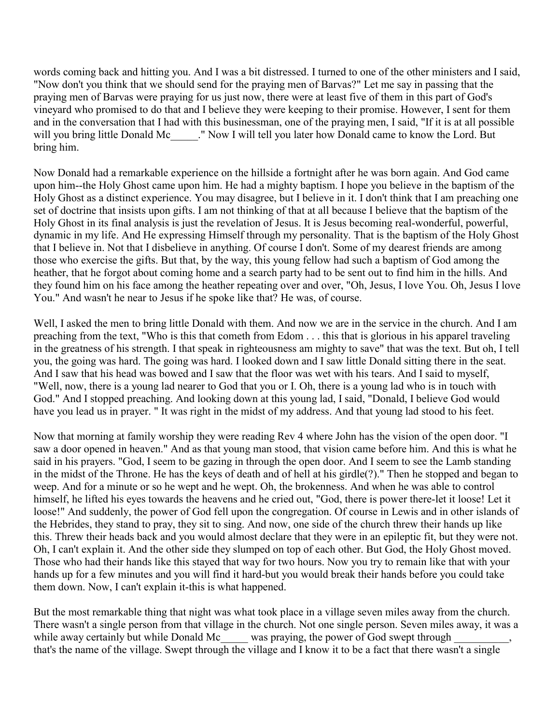words coming back and hitting you. And I was a bit distressed. I turned to one of the other ministers and I said, "Now don't you think that we should send for the praying men of Barvas?" Let me say in passing that the praying men of Barvas were praying for us just now, there were at least five of them in this part of God's vineyard who promised to do that and I believe they were keeping to their promise. However, I sent for them and in the conversation that I had with this businessman, one of the praying men, I said, "If it is at all possible will you bring little Donald Mc\_\_\_\_\_." Now I will tell you later how Donald came to know the Lord. But bring him.

Now Donald had a remarkable experience on the hillside a fortnight after he was born again. And God came upon him--the Holy Ghost came upon him. He had a mighty baptism. I hope you believe in the baptism of the Holy Ghost as a distinct experience. You may disagree, but I believe in it. I don't think that I am preaching one set of doctrine that insists upon gifts. I am not thinking of that at all because I believe that the baptism of the Holy Ghost in its final analysis is just the revelation of Jesus. It is Jesus becoming real-wonderful, powerful, dynamic in my life. And He expressing Himself through my personality. That is the baptism of the Holy Ghost that I believe in. Not that I disbelieve in anything. Of course I don't. Some of my dearest friends are among those who exercise the gifts. But that, by the way, this young fellow had such a baptism of God among the heather, that he forgot about coming home and a search party had to be sent out to find him in the hills. And they found him on his face among the heather repeating over and over, "Oh, Jesus, I love You. Oh, Jesus I love You." And wasn't he near to Jesus if he spoke like that? He was, of course.

Well, I asked the men to bring little Donald with them. And now we are in the service in the church. And I am preaching from the text, "Who is this that cometh from Edom . . . this that is glorious in his apparel traveling in the greatness of his strength. I that speak in righteousness am mighty to save" that was the text. But oh, I tell you, the going was hard. The going was hard. I looked down and I saw little Donald sitting there in the seat. And I saw that his head was bowed and I saw that the floor was wet with his tears. And I said to myself, "Well, now, there is a young lad nearer to God that you or I. Oh, there is a young lad who is in touch with God." And I stopped preaching. And looking down at this young lad, I said, "Donald, I believe God would have you lead us in prayer. " It was right in the midst of my address. And that young lad stood to his feet.

Now that morning at family worship they were reading Rev 4 where John has the vision of the open door. "I saw a door opened in heaven." And as that young man stood, that vision came before him. And this is what he said in his prayers. "God, I seem to be gazing in through the open door. And I seem to see the Lamb standing in the midst of the Throne. He has the keys of death and of hell at his girdle(?)." Then he stopped and began to weep. And for a minute or so he wept and he wept. Oh, the brokenness. And when he was able to control himself, he lifted his eyes towards the heavens and he cried out, "God, there is power there-let it loose! Let it loose!" And suddenly, the power of God fell upon the congregation. Of course in Lewis and in other islands of the Hebrides, they stand to pray, they sit to sing. And now, one side of the church threw their hands up like this. Threw their heads back and you would almost declare that they were in an epileptic fit, but they were not. Oh, I can't explain it. And the other side they slumped on top of each other. But God, the Holy Ghost moved. Those who had their hands like this stayed that way for two hours. Now you try to remain like that with your hands up for a few minutes and you will find it hard-but you would break their hands before you could take them down. Now, I can't explain it-this is what happened.

But the most remarkable thing that night was what took place in a village seven miles away from the church. There wasn't a single person from that village in the church. Not one single person. Seven miles away, it was a while away certainly but while Donald Mc was praying, the power of God swept through that's the name of the village. Swept through the village and I know it to be a fact that there wasn't a single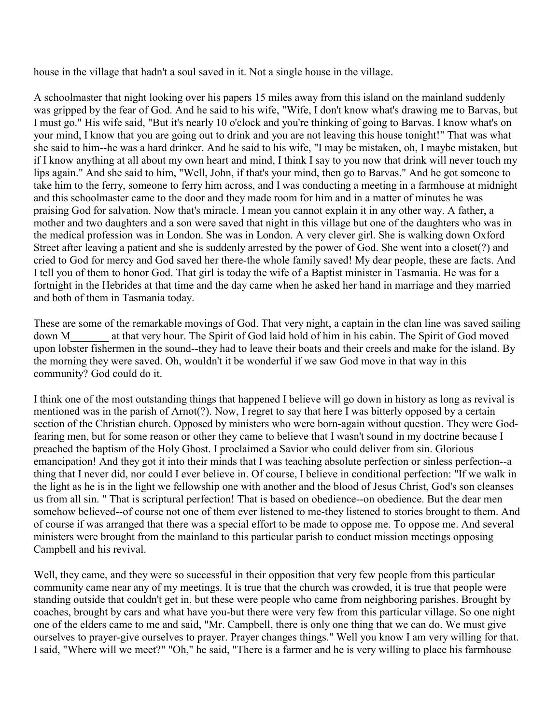house in the village that hadn't a soul saved in it. Not a single house in the village.

A schoolmaster that night looking over his papers 15 miles away from this island on the mainland suddenly was gripped by the fear of God. And he said to his wife, "Wife, I don't know what's drawing me to Barvas, but I must go." His wife said, "But it's nearly 10 o'clock and you're thinking of going to Barvas. I know what's on your mind, I know that you are going out to drink and you are not leaving this house tonight!" That was what she said to him--he was a hard drinker. And he said to his wife, "I may be mistaken, oh, I maybe mistaken, but if I know anything at all about my own heart and mind, I think I say to you now that drink will never touch my lips again." And she said to him, "Well, John, if that's your mind, then go to Barvas." And he got someone to take him to the ferry, someone to ferry him across, and I was conducting a meeting in a farmhouse at midnight and this schoolmaster came to the door and they made room for him and in a matter of minutes he was praising God for salvation. Now that's miracle. I mean you cannot explain it in any other way. A father, a mother and two daughters and a son were saved that night in this village but one of the daughters who was in the medical profession was in London. She was in London. A very clever girl. She is walking down Oxford Street after leaving a patient and she is suddenly arrested by the power of God. She went into a closet(?) and cried to God for mercy and God saved her there-the whole family saved! My dear people, these are facts. And I tell you of them to honor God. That girl is today the wife of a Baptist minister in Tasmania. He was for a fortnight in the Hebrides at that time and the day came when he asked her hand in marriage and they married and both of them in Tasmania today.

These are some of the remarkable movings of God. That very night, a captain in the clan line was saved sailing down M<sub>at</sub> that very hour. The Spirit of God laid hold of him in his cabin. The Spirit of God moved upon lobster fishermen in the sound--they had to leave their boats and their creels and make for the island. By the morning they were saved. Oh, wouldn't it be wonderful if we saw God move in that way in this community? God could do it.

I think one of the most outstanding things that happened I believe will go down in history as long as revival is mentioned was in the parish of Arnot(?). Now, I regret to say that here I was bitterly opposed by a certain section of the Christian church. Opposed by ministers who were born-again without question. They were Godfearing men, but for some reason or other they came to believe that I wasn't sound in my doctrine because I preached the baptism of the Holy Ghost. I proclaimed a Savior who could deliver from sin. Glorious emancipation! And they got it into their minds that I was teaching absolute perfection or sinless perfection--a thing that I never did, nor could I ever believe in. Of course, I believe in conditional perfection: "If we walk in the light as he is in the light we fellowship one with another and the blood of Jesus Christ, God's son cleanses us from all sin. " That is scriptural perfection! That is based on obedience--on obedience. But the dear men somehow believed--of course not one of them ever listened to me-they listened to stories brought to them. And of course if was arranged that there was a special effort to be made to oppose me. To oppose me. And several ministers were brought from the mainland to this particular parish to conduct mission meetings opposing Campbell and his revival.

Well, they came, and they were so successful in their opposition that very few people from this particular community came near any of my meetings. It is true that the church was crowded, it is true that people were standing outside that couldn't get in, but these were people who came from neighboring parishes. Brought by coaches, brought by cars and what have you-but there were very few from this particular village. So one night one of the elders came to me and said, "Mr. Campbell, there is only one thing that we can do. We must give ourselves to prayer-give ourselves to prayer. Prayer changes things." Well you know I am very willing for that. I said, "Where will we meet?" "Oh," he said, "There is a farmer and he is very willing to place his farmhouse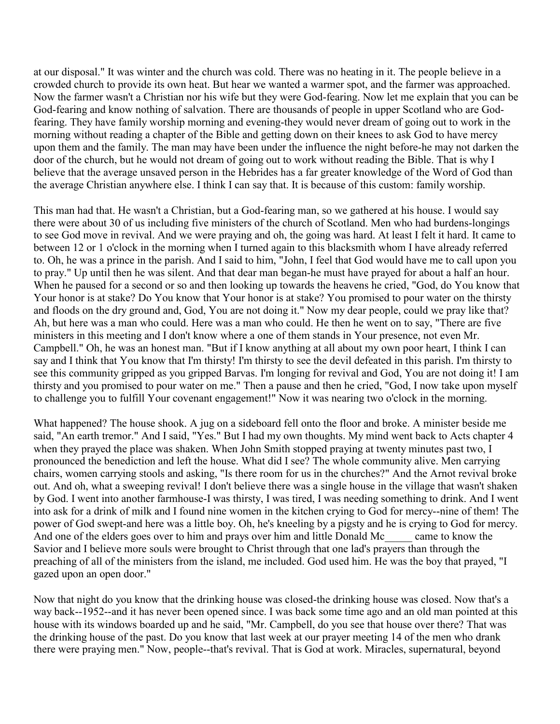at our disposal." It was winter and the church was cold. There was no heating in it. The people believe in a crowded church to provide its own heat. But hear we wanted a warmer spot, and the farmer was approached. Now the farmer wasn't a Christian nor his wife but they were God-fearing. Now let me explain that you can be God-fearing and know nothing of salvation. There are thousands of people in upper Scotland who are Godfearing. They have family worship morning and evening-they would never dream of going out to work in the morning without reading a chapter of the Bible and getting down on their knees to ask God to have mercy upon them and the family. The man may have been under the influence the night before-he may not darken the door of the church, but he would not dream of going out to work without reading the Bible. That is why I believe that the average unsaved person in the Hebrides has a far greater knowledge of the Word of God than the average Christian anywhere else. I think I can say that. It is because of this custom: family worship.

This man had that. He wasn't a Christian, but a God-fearing man, so we gathered at his house. I would say there were about 30 of us including five ministers of the church of Scotland. Men who had burdens-longings to see God move in revival. And we were praying and oh, the going was hard. At least I felt it hard. It came to between 12 or 1 o'clock in the morning when I turned again to this blacksmith whom I have already referred to. Oh, he was a prince in the parish. And I said to him, "John, I feel that God would have me to call upon you to pray." Up until then he was silent. And that dear man began-he must have prayed for about a half an hour. When he paused for a second or so and then looking up towards the heavens he cried, "God, do You know that Your honor is at stake? Do You know that Your honor is at stake? You promised to pour water on the thirsty and floods on the dry ground and, God, You are not doing it." Now my dear people, could we pray like that? Ah, but here was a man who could. Here was a man who could. He then he went on to say, "There are five ministers in this meeting and I don't know where a one of them stands in Your presence, not even Mr. Campbell." Oh, he was an honest man. "But if I know anything at all about my own poor heart, I think I can say and I think that You know that I'm thirsty! I'm thirsty to see the devil defeated in this parish. I'm thirsty to see this community gripped as you gripped Barvas. I'm longing for revival and God, You are not doing it! I am thirsty and you promised to pour water on me." Then a pause and then he cried, "God, I now take upon myself to challenge you to fulfill Your covenant engagement!" Now it was nearing two o'clock in the morning.

What happened? The house shook. A jug on a sideboard fell onto the floor and broke. A minister beside me said, "An earth tremor." And I said, "Yes." But I had my own thoughts. My mind went back to Acts chapter 4 when they prayed the place was shaken. When John Smith stopped praying at twenty minutes past two, I pronounced the benediction and left the house. What did I see? The whole community alive. Men carrying chairs, women carrying stools and asking, "Is there room for us in the churches?" And the Arnot revival broke out. And oh, what a sweeping revival! I don't believe there was a single house in the village that wasn't shaken by God. I went into another farmhouse-I was thirsty, I was tired, I was needing something to drink. And I went into ask for a drink of milk and I found nine women in the kitchen crying to God for mercy--nine of them! The power of God swept-and here was a little boy. Oh, he's kneeling by a pigsty and he is crying to God for mercy. And one of the elders goes over to him and prays over him and little Donald Mc came to know the Savior and I believe more souls were brought to Christ through that one lad's prayers than through the preaching of all of the ministers from the island, me included. God used him. He was the boy that prayed, "I gazed upon an open door."

Now that night do you know that the drinking house was closed-the drinking house was closed. Now that's a way back--1952--and it has never been opened since. I was back some time ago and an old man pointed at this house with its windows boarded up and he said, "Mr. Campbell, do you see that house over there? That was the drinking house of the past. Do you know that last week at our prayer meeting 14 of the men who drank there were praying men." Now, people--that's revival. That is God at work. Miracles, supernatural, beyond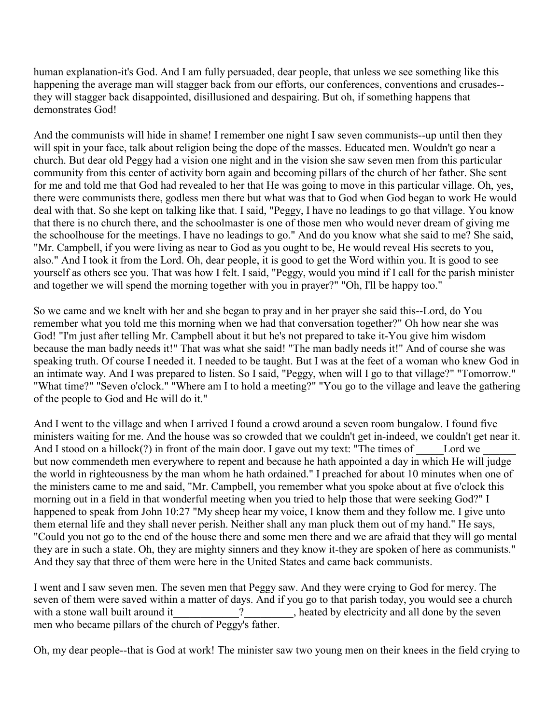human explanation-it's God. And I am fully persuaded, dear people, that unless we see something like this happening the average man will stagger back from our efforts, our conferences, conventions and crusades- they will stagger back disappointed, disillusioned and despairing. But oh, if something happens that demonstrates God!

And the communists will hide in shame! I remember one night I saw seven communists--up until then they will spit in your face, talk about religion being the dope of the masses. Educated men. Wouldn't go near a church. But dear old Peggy had a vision one night and in the vision she saw seven men from this particular community from this center of activity born again and becoming pillars of the church of her father. She sent for me and told me that God had revealed to her that He was going to move in this particular village. Oh, yes, there were communists there, godless men there but what was that to God when God began to work He would deal with that. So she kept on talking like that. I said, "Peggy, I have no leadings to go that village. You know that there is no church there, and the schoolmaster is one of those men who would never dream of giving me the schoolhouse for the meetings. I have no leadings to go." And do you know what she said to me? She said, "Mr. Campbell, if you were living as near to God as you ought to be, He would reveal His secrets to you, also." And I took it from the Lord. Oh, dear people, it is good to get the Word within you. It is good to see yourself as others see you. That was how I felt. I said, "Peggy, would you mind if I call for the parish minister and together we will spend the morning together with you in prayer?" "Oh, I'll be happy too."

So we came and we knelt with her and she began to pray and in her prayer she said this--Lord, do You remember what you told me this morning when we had that conversation together?" Oh how near she was God! "I'm just after telling Mr. Campbell about it but he's not prepared to take it-You give him wisdom because the man badly needs it!" That was what she said! "The man badly needs it!" And of course she was speaking truth. Of course I needed it. I needed to be taught. But I was at the feet of a woman who knew God in an intimate way. And I was prepared to listen. So I said, "Peggy, when will I go to that village?" "Tomorrow." "What time?" "Seven o'clock." "Where am I to hold a meeting?" "You go to the village and leave the gathering of the people to God and He will do it."

And I went to the village and when I arrived I found a crowd around a seven room bungalow. I found five ministers waiting for me. And the house was so crowded that we couldn't get in-indeed, we couldn't get near it. And I stood on a hillock(?) in front of the main door. I gave out my text: "The times of Lord we but now commendeth men everywhere to repent and because he hath appointed a day in which He will judge the world in righteousness by the man whom he hath ordained." I preached for about 10 minutes when one of the ministers came to me and said, "Mr. Campbell, you remember what you spoke about at five o'clock this morning out in a field in that wonderful meeting when you tried to help those that were seeking God?" I happened to speak from John 10:27 "My sheep hear my voice, I know them and they follow me. I give unto them eternal life and they shall never perish. Neither shall any man pluck them out of my hand." He says, "Could you not go to the end of the house there and some men there and we are afraid that they will go mental they are in such a state. Oh, they are mighty sinners and they know it-they are spoken of here as communists." And they say that three of them were here in the United States and came back communists.

I went and I saw seven men. The seven men that Peggy saw. And they were crying to God for mercy. The seven of them were saved within a matter of days. And if you go to that parish today, you would see a church with a stone wall built around it  $\underline{\hspace{1cm}}$   $\overline{\hspace{1cm}}$ , heated by electricity and all done by the seven men who became pillars of the church of Peggy's father.

Oh, my dear people--that is God at work! The minister saw two young men on their knees in the field crying to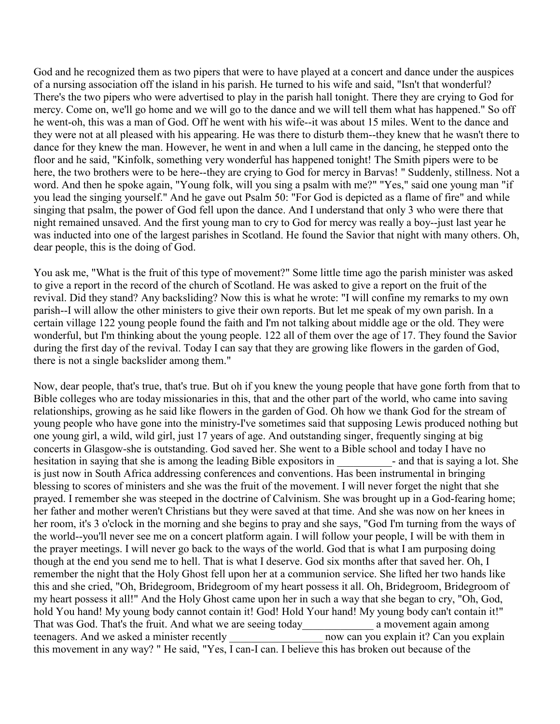God and he recognized them as two pipers that were to have played at a concert and dance under the auspices of a nursing association off the island in his parish. He turned to his wife and said, "Isn't that wonderful? There's the two pipers who were advertised to play in the parish hall tonight. There they are crying to God for mercy. Come on, we'll go home and we will go to the dance and we will tell them what has happened." So off he went-oh, this was a man of God. Off he went with his wife--it was about 15 miles. Went to the dance and they were not at all pleased with his appearing. He was there to disturb them--they knew that he wasn't there to dance for they knew the man. However, he went in and when a lull came in the dancing, he stepped onto the floor and he said, "Kinfolk, something very wonderful has happened tonight! The Smith pipers were to be here, the two brothers were to be here--they are crying to God for mercy in Barvas! " Suddenly, stillness. Not a word. And then he spoke again, "Young folk, will you sing a psalm with me?" "Yes," said one young man "if you lead the singing yourself." And he gave out Psalm 50: "For God is depicted as a flame of fire" and while singing that psalm, the power of God fell upon the dance. And I understand that only 3 who were there that night remained unsaved. And the first young man to cry to God for mercy was really a boy--just last year he was inducted into one of the largest parishes in Scotland. He found the Savior that night with many others. Oh, dear people, this is the doing of God.

You ask me, "What is the fruit of this type of movement?" Some little time ago the parish minister was asked to give a report in the record of the church of Scotland. He was asked to give a report on the fruit of the revival. Did they stand? Any backsliding? Now this is what he wrote: "I will confine my remarks to my own parish--I will allow the other ministers to give their own reports. But let me speak of my own parish. In a certain village 122 young people found the faith and I'm not talking about middle age or the old. They were wonderful, but I'm thinking about the young people. 122 all of them over the age of 17. They found the Savior during the first day of the revival. Today I can say that they are growing like flowers in the garden of God, there is not a single backslider among them."

Now, dear people, that's true, that's true. But oh if you knew the young people that have gone forth from that to Bible colleges who are today missionaries in this, that and the other part of the world, who came into saving relationships, growing as he said like flowers in the garden of God. Oh how we thank God for the stream of young people who have gone into the ministry-I've sometimes said that supposing Lewis produced nothing but one young girl, a wild, wild girl, just 17 years of age. And outstanding singer, frequently singing at big concerts in Glasgow-she is outstanding. God saved her. She went to a Bible school and today I have no hesitation in saying that she is among the leading Bible expositors in - and that is saying a lot. She is just now in South Africa addressing conferences and conventions. Has been instrumental in bringing blessing to scores of ministers and she was the fruit of the movement. I will never forget the night that she prayed. I remember she was steeped in the doctrine of Calvinism. She was brought up in a God-fearing home; her father and mother weren't Christians but they were saved at that time. And she was now on her knees in her room, it's 3 o'clock in the morning and she begins to pray and she says, "God I'm turning from the ways of the world--you'll never see me on a concert platform again. I will follow your people, I will be with them in the prayer meetings. I will never go back to the ways of the world. God that is what I am purposing doing though at the end you send me to hell. That is what I deserve. God six months after that saved her. Oh, I remember the night that the Holy Ghost fell upon her at a communion service. She lifted her two hands like this and she cried, "Oh, Bridegroom, Bridegroom of my heart possess it all. Oh, Bridegroom, Bridegroom of my heart possess it all!" And the Holy Ghost came upon her in such a way that she began to cry, "Oh, God, hold You hand! My young body cannot contain it! God! Hold Your hand! My young body can't contain it!" That was God. That's the fruit. And what we are seeing today\_\_\_\_\_\_\_\_\_\_\_\_\_ a movement again among teenagers. And we asked a minister recently \_\_\_\_\_\_\_\_\_\_\_\_\_\_\_\_\_\_\_\_\_ now can you explain it? Can you explain this movement in any way? " He said, "Yes, I can-I can. I believe this has broken out because of the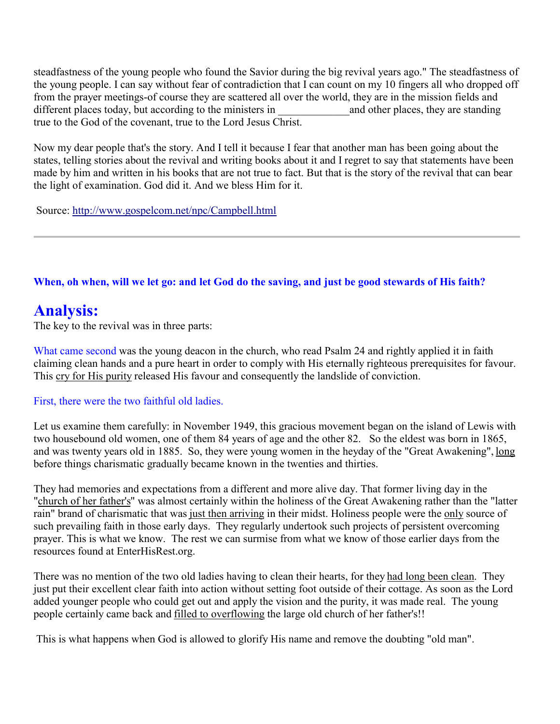steadfastness of the young people who found the Savior during the big revival years ago." The steadfastness of the young people. I can say without fear of contradiction that I can count on my 10 fingers all who dropped off from the prayer meetings-of course they are scattered all over the world, they are in the mission fields and different places today, but according to the ministers in and other places, they are standing true to the God of the covenant, true to the Lord Jesus Christ.

Now my dear people that's the story. And I tell it because I fear that another man has been going about the states, telling stories about the revival and writing books about it and I regret to say that statements have been made by him and written in his books that are not true to fact. But that is the story of the revival that can bear the light of examination. God did it. And we bless Him for it.

Source: http://www.gospelcom.net/npc/Campbell.html

#### **When, oh when, will we let go: and let God do the saving, and just be good stewards of His faith?**

## **Analysis:**

The key to the revival was in three parts:

What came second was the young deacon in the church, who read Psalm 24 and rightly applied it in faith claiming clean hands and a pure heart in order to comply with His eternally righteous prerequisites for favour. This cry for His purity released His favour and consequently the landslide of conviction.

#### First, there were the two faithful old ladies.

Let us examine them carefully: in November 1949, this gracious movement began on the island of Lewis with two housebound old women, one of them 84 years of age and the other 82. So the eldest was born in 1865, and was twenty years old in 1885. So, they were young women in the heyday of the "Great Awakening", long before things charismatic gradually became known in the twenties and thirties.

They had memories and expectations from a different and more alive day. That former living day in the "church of her father's" was almost certainly within the holiness of the Great Awakening rather than the "latter rain" brand of charismatic that was just then arriving in their midst. Holiness people were the only source of such prevailing faith in those early days. They regularly undertook such projects of persistent overcoming prayer. This is what we know. The rest we can surmise from what we know of those earlier days from the resources found at EnterHisRest.org.

There was no mention of the two old ladies having to clean their hearts, for they had long been clean. They just put their excellent clear faith into action without setting foot outside of their cottage. As soon as the Lord added younger people who could get out and apply the vision and the purity, it was made real. The young people certainly came back and filled to overflowing the large old church of her father's!!

This is what happens when God is allowed to glorify His name and remove the doubting "old man".